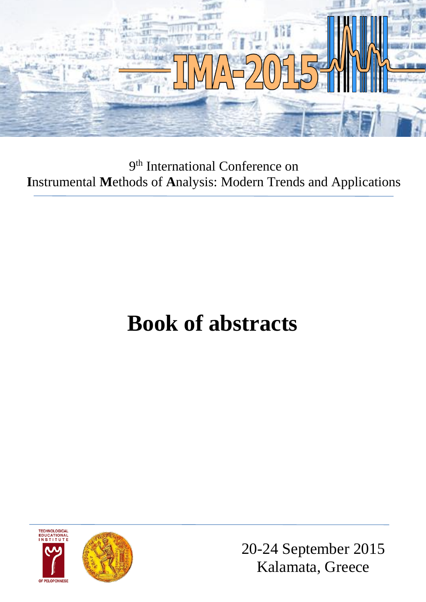

9<sup>th</sup> International Conference on **I**nstrumental **M**ethods of **A**nalysis: Modern Trends and Applications

## **Book of abstracts**





20-24 September 2015 Kalamata, Greece